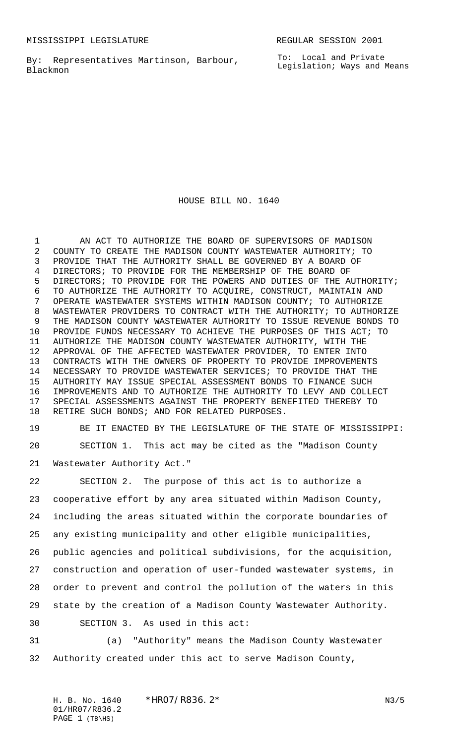By: Representatives Martinson, Barbour, Blackmon

To: Local and Private Legislation; Ways and Means

HOUSE BILL NO. 1640

1 AN ACT TO AUTHORIZE THE BOARD OF SUPERVISORS OF MADISON COUNTY TO CREATE THE MADISON COUNTY WASTEWATER AUTHORITY; TO PROVIDE THAT THE AUTHORITY SHALL BE GOVERNED BY A BOARD OF DIRECTORS; TO PROVIDE FOR THE MEMBERSHIP OF THE BOARD OF DIRECTORS; TO PROVIDE FOR THE POWERS AND DUTIES OF THE AUTHORITY; TO AUTHORIZE THE AUTHORITY TO ACQUIRE, CONSTRUCT, MAINTAIN AND OPERATE WASTEWATER SYSTEMS WITHIN MADISON COUNTY; TO AUTHORIZE WASTEWATER PROVIDERS TO CONTRACT WITH THE AUTHORITY; TO AUTHORIZE THE MADISON COUNTY WASTEWATER AUTHORITY TO ISSUE REVENUE BONDS TO PROVIDE FUNDS NECESSARY TO ACHIEVE THE PURPOSES OF THIS ACT; TO AUTHORIZE THE MADISON COUNTY WASTEWATER AUTHORITY, WITH THE APPROVAL OF THE AFFECTED WASTEWATER PROVIDER, TO ENTER INTO CONTRACTS WITH THE OWNERS OF PROPERTY TO PROVIDE IMPROVEMENTS NECESSARY TO PROVIDE WASTEWATER SERVICES; TO PROVIDE THAT THE AUTHORITY MAY ISSUE SPECIAL ASSESSMENT BONDS TO FINANCE SUCH IMPROVEMENTS AND TO AUTHORIZE THE AUTHORITY TO LEVY AND COLLECT SPECIAL ASSESSMENTS AGAINST THE PROPERTY BENEFITED THEREBY TO RETIRE SUCH BONDS; AND FOR RELATED PURPOSES.

 BE IT ENACTED BY THE LEGISLATURE OF THE STATE OF MISSISSIPPI: SECTION 1. This act may be cited as the "Madison County

Wastewater Authority Act."

 SECTION 2. The purpose of this act is to authorize a cooperative effort by any area situated within Madison County, including the areas situated within the corporate boundaries of any existing municipality and other eligible municipalities, public agencies and political subdivisions, for the acquisition, construction and operation of user-funded wastewater systems, in order to prevent and control the pollution of the waters in this state by the creation of a Madison County Wastewater Authority. SECTION 3. As used in this act:

 (a) "Authority" means the Madison County Wastewater Authority created under this act to serve Madison County,

H. B. No. 1640  $*$ HRO7/R836. 2 $*$  N3/5 01/HR07/R836.2 PAGE (TB\HS)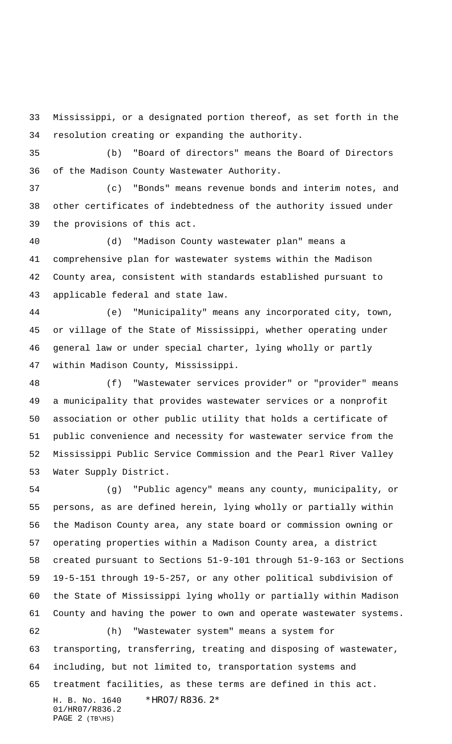Mississippi, or a designated portion thereof, as set forth in the resolution creating or expanding the authority.

 (b) "Board of directors" means the Board of Directors of the Madison County Wastewater Authority.

 (c) "Bonds" means revenue bonds and interim notes, and other certificates of indebtedness of the authority issued under the provisions of this act.

 (d) "Madison County wastewater plan" means a comprehensive plan for wastewater systems within the Madison County area, consistent with standards established pursuant to applicable federal and state law.

 (e) "Municipality" means any incorporated city, town, or village of the State of Mississippi, whether operating under general law or under special charter, lying wholly or partly within Madison County, Mississippi.

 (f) "Wastewater services provider" or "provider" means a municipality that provides wastewater services or a nonprofit association or other public utility that holds a certificate of public convenience and necessity for wastewater service from the Mississippi Public Service Commission and the Pearl River Valley Water Supply District.

 (g) "Public agency" means any county, municipality, or persons, as are defined herein, lying wholly or partially within the Madison County area, any state board or commission owning or operating properties within a Madison County area, a district created pursuant to Sections 51-9-101 through 51-9-163 or Sections 19-5-151 through 19-5-257, or any other political subdivision of the State of Mississippi lying wholly or partially within Madison County and having the power to own and operate wastewater systems. (h) "Wastewater system" means a system for

 transporting, transferring, treating and disposing of wastewater, including, but not limited to, transportation systems and treatment facilities, as these terms are defined in this act.

H. B. No. 1640 \*HR07/R836.2\* 01/HR07/R836.2 PAGE (TB\HS)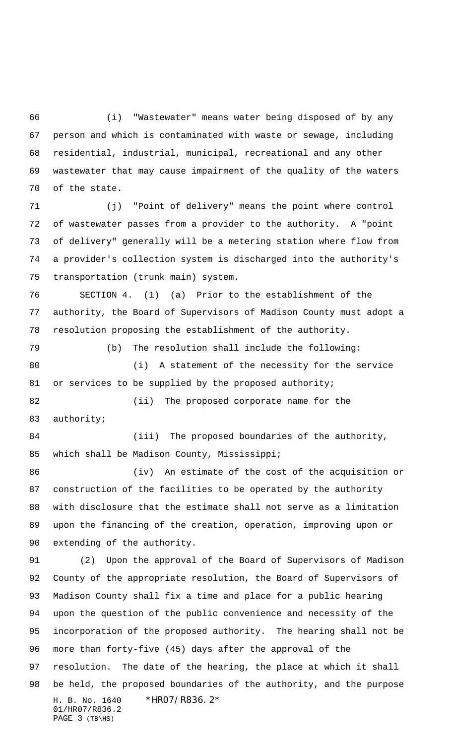(i) "Wastewater" means water being disposed of by any person and which is contaminated with waste or sewage, including residential, industrial, municipal, recreational and any other wastewater that may cause impairment of the quality of the waters of the state.

 (j) "Point of delivery" means the point where control of wastewater passes from a provider to the authority. A "point of delivery" generally will be a metering station where flow from a provider's collection system is discharged into the authority's transportation (trunk main) system.

 SECTION 4. (1) (a) Prior to the establishment of the authority, the Board of Supervisors of Madison County must adopt a resolution proposing the establishment of the authority.

 (b) The resolution shall include the following: (i) A statement of the necessity for the service 81 or services to be supplied by the proposed authority;

 (ii) The proposed corporate name for the authority;

84 (iii) The proposed boundaries of the authority, which shall be Madison County, Mississippi;

86 (iv) An estimate of the cost of the acquisition or construction of the facilities to be operated by the authority with disclosure that the estimate shall not serve as a limitation upon the financing of the creation, operation, improving upon or extending of the authority.

H. B. No. 1640 \*HR07/R836.2\* 01/HR07/R836.2 PAGE (TB\HS) (2) Upon the approval of the Board of Supervisors of Madison County of the appropriate resolution, the Board of Supervisors of Madison County shall fix a time and place for a public hearing upon the question of the public convenience and necessity of the incorporation of the proposed authority. The hearing shall not be more than forty-five (45) days after the approval of the resolution. The date of the hearing, the place at which it shall be held, the proposed boundaries of the authority, and the purpose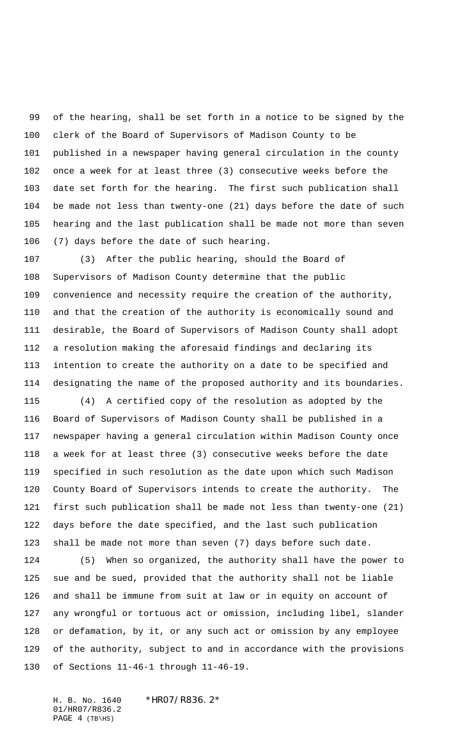of the hearing, shall be set forth in a notice to be signed by the clerk of the Board of Supervisors of Madison County to be published in a newspaper having general circulation in the county once a week for at least three (3) consecutive weeks before the date set forth for the hearing. The first such publication shall be made not less than twenty-one (21) days before the date of such hearing and the last publication shall be made not more than seven (7) days before the date of such hearing.

 (3) After the public hearing, should the Board of Supervisors of Madison County determine that the public convenience and necessity require the creation of the authority, and that the creation of the authority is economically sound and desirable, the Board of Supervisors of Madison County shall adopt a resolution making the aforesaid findings and declaring its intention to create the authority on a date to be specified and designating the name of the proposed authority and its boundaries.

 (4) A certified copy of the resolution as adopted by the Board of Supervisors of Madison County shall be published in a newspaper having a general circulation within Madison County once a week for at least three (3) consecutive weeks before the date specified in such resolution as the date upon which such Madison County Board of Supervisors intends to create the authority. The first such publication shall be made not less than twenty-one (21) days before the date specified, and the last such publication shall be made not more than seven (7) days before such date.

 (5) When so organized, the authority shall have the power to sue and be sued, provided that the authority shall not be liable and shall be immune from suit at law or in equity on account of any wrongful or tortuous act or omission, including libel, slander or defamation, by it, or any such act or omission by any employee of the authority, subject to and in accordance with the provisions of Sections 11-46-1 through 11-46-19.

H. B. No. 1640 \*HR07/R836.2\* 01/HR07/R836.2 PAGE (TB\HS)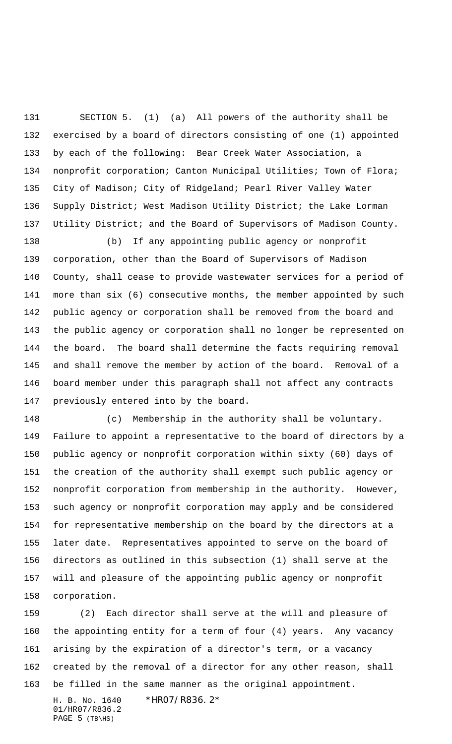SECTION 5. (1) (a) All powers of the authority shall be exercised by a board of directors consisting of one (1) appointed by each of the following: Bear Creek Water Association, a nonprofit corporation; Canton Municipal Utilities; Town of Flora; City of Madison; City of Ridgeland; Pearl River Valley Water Supply District; West Madison Utility District; the Lake Lorman Utility District; and the Board of Supervisors of Madison County.

 (b) If any appointing public agency or nonprofit corporation, other than the Board of Supervisors of Madison County, shall cease to provide wastewater services for a period of more than six (6) consecutive months, the member appointed by such public agency or corporation shall be removed from the board and the public agency or corporation shall no longer be represented on the board. The board shall determine the facts requiring removal and shall remove the member by action of the board. Removal of a board member under this paragraph shall not affect any contracts previously entered into by the board.

 (c) Membership in the authority shall be voluntary. Failure to appoint a representative to the board of directors by a public agency or nonprofit corporation within sixty (60) days of the creation of the authority shall exempt such public agency or nonprofit corporation from membership in the authority. However, such agency or nonprofit corporation may apply and be considered for representative membership on the board by the directors at a later date. Representatives appointed to serve on the board of directors as outlined in this subsection (1) shall serve at the will and pleasure of the appointing public agency or nonprofit corporation.

H. B. No. 1640 \*HR07/R836.2\* (2) Each director shall serve at the will and pleasure of the appointing entity for a term of four (4) years. Any vacancy arising by the expiration of a director's term, or a vacancy created by the removal of a director for any other reason, shall be filled in the same manner as the original appointment.

01/HR07/R836.2 PAGE (TB\HS)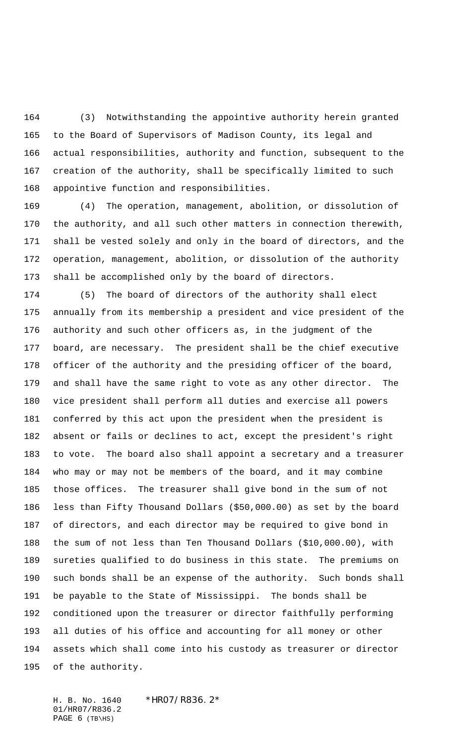(3) Notwithstanding the appointive authority herein granted to the Board of Supervisors of Madison County, its legal and actual responsibilities, authority and function, subsequent to the creation of the authority, shall be specifically limited to such appointive function and responsibilities.

 (4) The operation, management, abolition, or dissolution of the authority, and all such other matters in connection therewith, shall be vested solely and only in the board of directors, and the operation, management, abolition, or dissolution of the authority shall be accomplished only by the board of directors.

 (5) The board of directors of the authority shall elect annually from its membership a president and vice president of the authority and such other officers as, in the judgment of the board, are necessary. The president shall be the chief executive officer of the authority and the presiding officer of the board, and shall have the same right to vote as any other director. The vice president shall perform all duties and exercise all powers conferred by this act upon the president when the president is absent or fails or declines to act, except the president's right to vote. The board also shall appoint a secretary and a treasurer who may or may not be members of the board, and it may combine those offices. The treasurer shall give bond in the sum of not less than Fifty Thousand Dollars (\$50,000.00) as set by the board of directors, and each director may be required to give bond in the sum of not less than Ten Thousand Dollars (\$10,000.00), with sureties qualified to do business in this state. The premiums on such bonds shall be an expense of the authority. Such bonds shall be payable to the State of Mississippi. The bonds shall be conditioned upon the treasurer or director faithfully performing all duties of his office and accounting for all money or other assets which shall come into his custody as treasurer or director of the authority.

H. B. No. 1640 \*HR07/R836.2\* 01/HR07/R836.2 PAGE (TB\HS)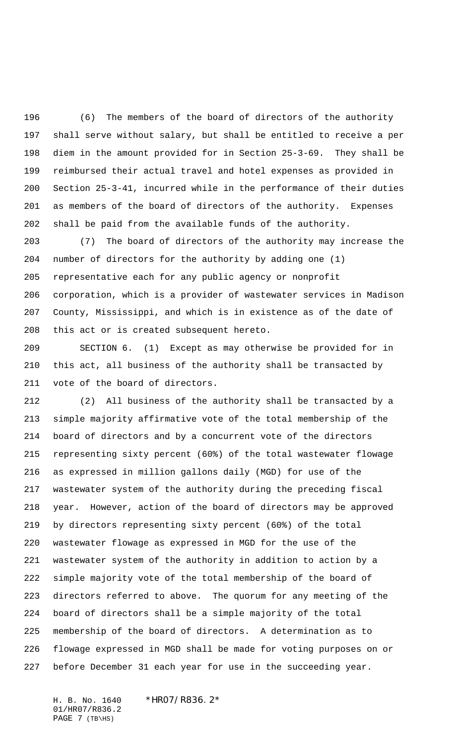(6) The members of the board of directors of the authority shall serve without salary, but shall be entitled to receive a per diem in the amount provided for in Section 25-3-69. They shall be reimbursed their actual travel and hotel expenses as provided in Section 25-3-41, incurred while in the performance of their duties as members of the board of directors of the authority. Expenses shall be paid from the available funds of the authority.

 (7) The board of directors of the authority may increase the number of directors for the authority by adding one (1) representative each for any public agency or nonprofit corporation, which is a provider of wastewater services in Madison County, Mississippi, and which is in existence as of the date of this act or is created subsequent hereto.

 SECTION 6. (1) Except as may otherwise be provided for in this act, all business of the authority shall be transacted by vote of the board of directors.

 (2) All business of the authority shall be transacted by a simple majority affirmative vote of the total membership of the board of directors and by a concurrent vote of the directors representing sixty percent (60%) of the total wastewater flowage as expressed in million gallons daily (MGD) for use of the wastewater system of the authority during the preceding fiscal year. However, action of the board of directors may be approved by directors representing sixty percent (60%) of the total wastewater flowage as expressed in MGD for the use of the wastewater system of the authority in addition to action by a simple majority vote of the total membership of the board of directors referred to above. The quorum for any meeting of the board of directors shall be a simple majority of the total membership of the board of directors. A determination as to flowage expressed in MGD shall be made for voting purposes on or before December 31 each year for use in the succeeding year.

H. B. No. 1640 \*HR07/R836.2\* 01/HR07/R836.2 PAGE (TB\HS)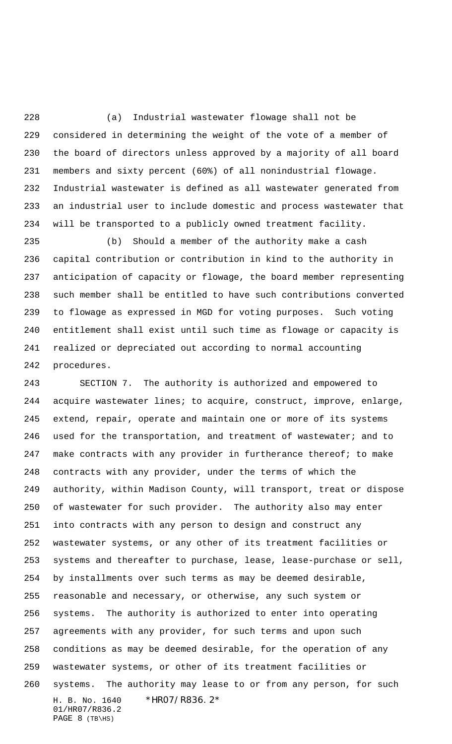(a) Industrial wastewater flowage shall not be considered in determining the weight of the vote of a member of the board of directors unless approved by a majority of all board members and sixty percent (60%) of all nonindustrial flowage. Industrial wastewater is defined as all wastewater generated from an industrial user to include domestic and process wastewater that will be transported to a publicly owned treatment facility.

 (b) Should a member of the authority make a cash capital contribution or contribution in kind to the authority in anticipation of capacity or flowage, the board member representing such member shall be entitled to have such contributions converted to flowage as expressed in MGD for voting purposes. Such voting entitlement shall exist until such time as flowage or capacity is realized or depreciated out according to normal accounting procedures.

H. B. No. 1640 \*HR07/R836.2\* 01/HR07/R836.2 PAGE (TB\HS) SECTION 7. The authority is authorized and empowered to acquire wastewater lines; to acquire, construct, improve, enlarge, extend, repair, operate and maintain one or more of its systems 246 used for the transportation, and treatment of wastewater; and to 247 make contracts with any provider in furtherance thereof; to make contracts with any provider, under the terms of which the authority, within Madison County, will transport, treat or dispose of wastewater for such provider. The authority also may enter into contracts with any person to design and construct any wastewater systems, or any other of its treatment facilities or systems and thereafter to purchase, lease, lease-purchase or sell, by installments over such terms as may be deemed desirable, reasonable and necessary, or otherwise, any such system or systems. The authority is authorized to enter into operating agreements with any provider, for such terms and upon such conditions as may be deemed desirable, for the operation of any wastewater systems, or other of its treatment facilities or systems. The authority may lease to or from any person, for such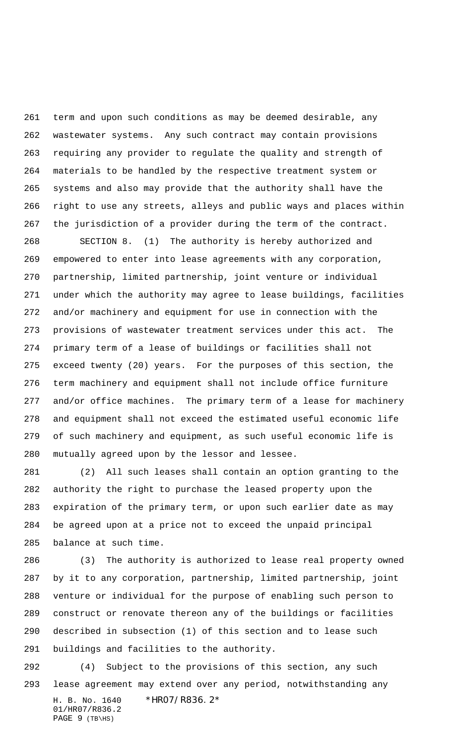term and upon such conditions as may be deemed desirable, any wastewater systems. Any such contract may contain provisions requiring any provider to regulate the quality and strength of materials to be handled by the respective treatment system or systems and also may provide that the authority shall have the right to use any streets, alleys and public ways and places within the jurisdiction of a provider during the term of the contract.

 SECTION 8. (1) The authority is hereby authorized and empowered to enter into lease agreements with any corporation, partnership, limited partnership, joint venture or individual under which the authority may agree to lease buildings, facilities and/or machinery and equipment for use in connection with the provisions of wastewater treatment services under this act. The primary term of a lease of buildings or facilities shall not exceed twenty (20) years. For the purposes of this section, the term machinery and equipment shall not include office furniture and/or office machines. The primary term of a lease for machinery and equipment shall not exceed the estimated useful economic life of such machinery and equipment, as such useful economic life is mutually agreed upon by the lessor and lessee.

 (2) All such leases shall contain an option granting to the authority the right to purchase the leased property upon the expiration of the primary term, or upon such earlier date as may be agreed upon at a price not to exceed the unpaid principal balance at such time.

 (3) The authority is authorized to lease real property owned by it to any corporation, partnership, limited partnership, joint venture or individual for the purpose of enabling such person to construct or renovate thereon any of the buildings or facilities described in subsection (1) of this section and to lease such buildings and facilities to the authority.

H. B. No. 1640 \*HR07/R836.2\* 01/HR07/R836.2 PAGE (TB\HS) (4) Subject to the provisions of this section, any such lease agreement may extend over any period, notwithstanding any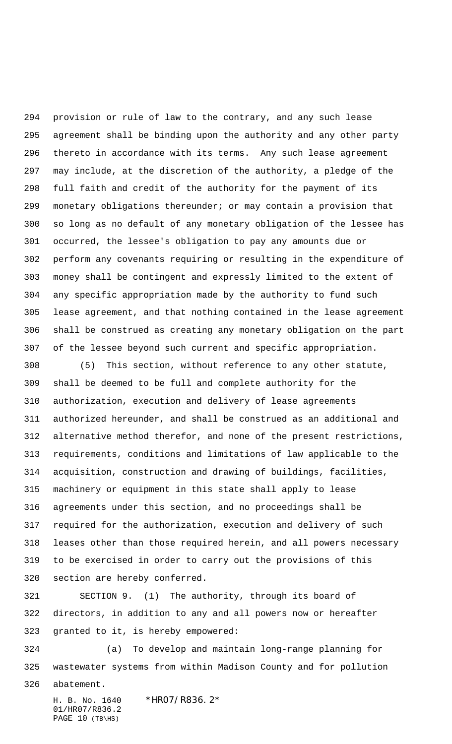provision or rule of law to the contrary, and any such lease agreement shall be binding upon the authority and any other party thereto in accordance with its terms. Any such lease agreement may include, at the discretion of the authority, a pledge of the full faith and credit of the authority for the payment of its monetary obligations thereunder; or may contain a provision that so long as no default of any monetary obligation of the lessee has occurred, the lessee's obligation to pay any amounts due or perform any covenants requiring or resulting in the expenditure of money shall be contingent and expressly limited to the extent of any specific appropriation made by the authority to fund such lease agreement, and that nothing contained in the lease agreement shall be construed as creating any monetary obligation on the part of the lessee beyond such current and specific appropriation.

 (5) This section, without reference to any other statute, shall be deemed to be full and complete authority for the authorization, execution and delivery of lease agreements authorized hereunder, and shall be construed as an additional and alternative method therefor, and none of the present restrictions, requirements, conditions and limitations of law applicable to the acquisition, construction and drawing of buildings, facilities, machinery or equipment in this state shall apply to lease agreements under this section, and no proceedings shall be required for the authorization, execution and delivery of such leases other than those required herein, and all powers necessary to be exercised in order to carry out the provisions of this section are hereby conferred.

 SECTION 9. (1) The authority, through its board of directors, in addition to any and all powers now or hereafter granted to it, is hereby empowered:

 (a) To develop and maintain long-range planning for wastewater systems from within Madison County and for pollution

abatement.

H. B. No. 1640 \*HR07/R836.2\* 01/HR07/R836.2 PAGE (TB\HS)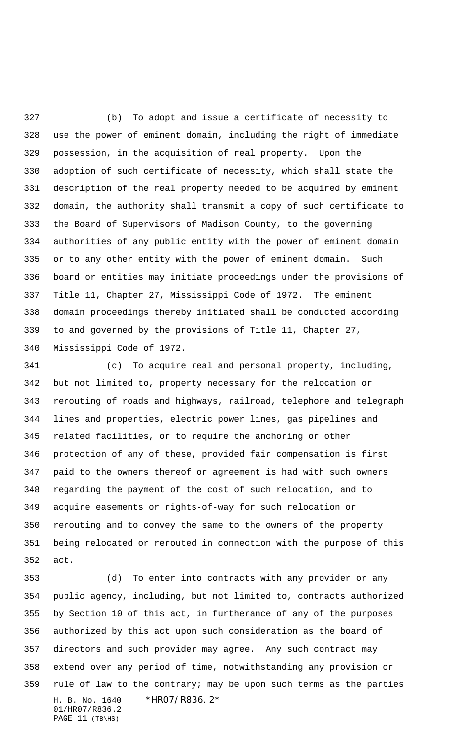(b) To adopt and issue a certificate of necessity to use the power of eminent domain, including the right of immediate possession, in the acquisition of real property. Upon the adoption of such certificate of necessity, which shall state the description of the real property needed to be acquired by eminent domain, the authority shall transmit a copy of such certificate to the Board of Supervisors of Madison County, to the governing authorities of any public entity with the power of eminent domain or to any other entity with the power of eminent domain. Such board or entities may initiate proceedings under the provisions of Title 11, Chapter 27, Mississippi Code of 1972. The eminent domain proceedings thereby initiated shall be conducted according to and governed by the provisions of Title 11, Chapter 27, Mississippi Code of 1972.

 (c) To acquire real and personal property, including, but not limited to, property necessary for the relocation or rerouting of roads and highways, railroad, telephone and telegraph lines and properties, electric power lines, gas pipelines and related facilities, or to require the anchoring or other protection of any of these, provided fair compensation is first paid to the owners thereof or agreement is had with such owners regarding the payment of the cost of such relocation, and to acquire easements or rights-of-way for such relocation or rerouting and to convey the same to the owners of the property being relocated or rerouted in connection with the purpose of this act.

H. B. No. 1640 \*HR07/R836.2\* 01/HR07/R836.2 PAGE (TB\HS) (d) To enter into contracts with any provider or any public agency, including, but not limited to, contracts authorized by Section 10 of this act, in furtherance of any of the purposes authorized by this act upon such consideration as the board of directors and such provider may agree. Any such contract may extend over any period of time, notwithstanding any provision or rule of law to the contrary; may be upon such terms as the parties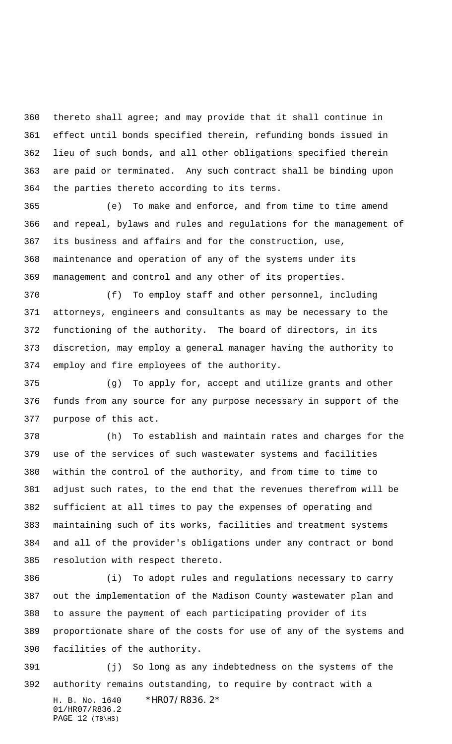thereto shall agree; and may provide that it shall continue in effect until bonds specified therein, refunding bonds issued in lieu of such bonds, and all other obligations specified therein are paid or terminated. Any such contract shall be binding upon the parties thereto according to its terms.

 (e) To make and enforce, and from time to time amend and repeal, bylaws and rules and regulations for the management of its business and affairs and for the construction, use, maintenance and operation of any of the systems under its management and control and any other of its properties.

 (f) To employ staff and other personnel, including attorneys, engineers and consultants as may be necessary to the functioning of the authority. The board of directors, in its discretion, may employ a general manager having the authority to employ and fire employees of the authority.

 (g) To apply for, accept and utilize grants and other funds from any source for any purpose necessary in support of the purpose of this act.

 (h) To establish and maintain rates and charges for the use of the services of such wastewater systems and facilities within the control of the authority, and from time to time to adjust such rates, to the end that the revenues therefrom will be sufficient at all times to pay the expenses of operating and maintaining such of its works, facilities and treatment systems and all of the provider's obligations under any contract or bond resolution with respect thereto.

 (i) To adopt rules and regulations necessary to carry out the implementation of the Madison County wastewater plan and to assure the payment of each participating provider of its proportionate share of the costs for use of any of the systems and facilities of the authority.

H. B. No. 1640 \*HR07/R836.2\* 01/HR07/R836.2 (j) So long as any indebtedness on the systems of the authority remains outstanding, to require by contract with a

PAGE (TB\HS)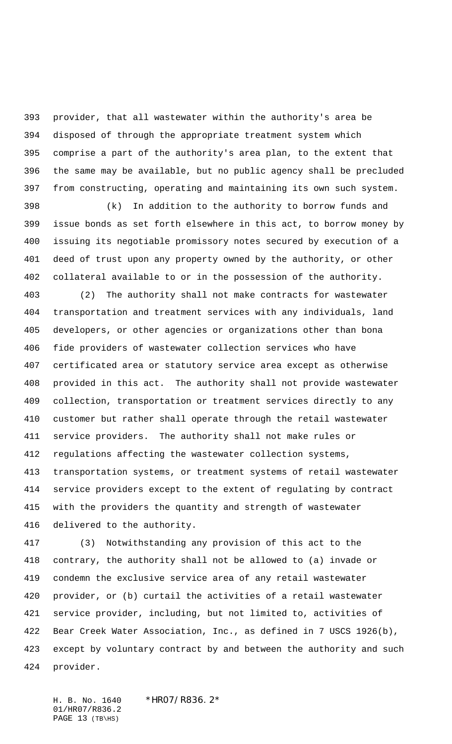provider, that all wastewater within the authority's area be disposed of through the appropriate treatment system which comprise a part of the authority's area plan, to the extent that the same may be available, but no public agency shall be precluded from constructing, operating and maintaining its own such system.

 (k) In addition to the authority to borrow funds and issue bonds as set forth elsewhere in this act, to borrow money by issuing its negotiable promissory notes secured by execution of a deed of trust upon any property owned by the authority, or other collateral available to or in the possession of the authority.

 (2) The authority shall not make contracts for wastewater transportation and treatment services with any individuals, land developers, or other agencies or organizations other than bona fide providers of wastewater collection services who have certificated area or statutory service area except as otherwise provided in this act. The authority shall not provide wastewater collection, transportation or treatment services directly to any customer but rather shall operate through the retail wastewater service providers. The authority shall not make rules or regulations affecting the wastewater collection systems, transportation systems, or treatment systems of retail wastewater service providers except to the extent of regulating by contract with the providers the quantity and strength of wastewater delivered to the authority.

 (3) Notwithstanding any provision of this act to the contrary, the authority shall not be allowed to (a) invade or condemn the exclusive service area of any retail wastewater provider, or (b) curtail the activities of a retail wastewater service provider, including, but not limited to, activities of Bear Creek Water Association, Inc., as defined in 7 USCS 1926(b), except by voluntary contract by and between the authority and such provider.

H. B. No. 1640 \*HR07/R836.2\* 01/HR07/R836.2 PAGE (TB\HS)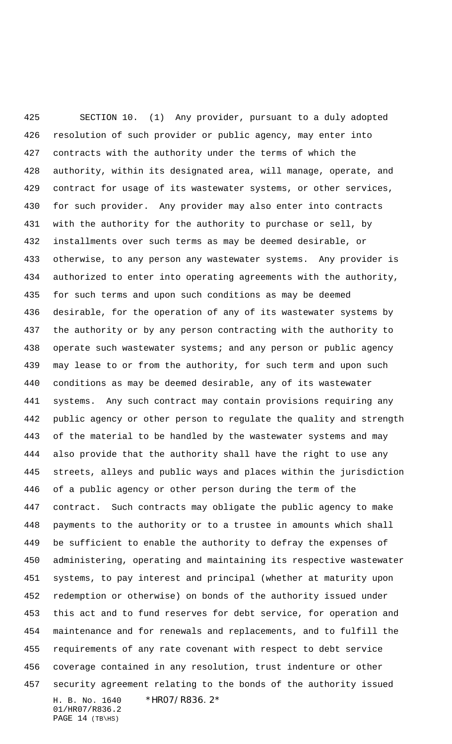H. B. No. 1640 \*HR07/R836.2\* 01/HR07/R836.2 SECTION 10. (1) Any provider, pursuant to a duly adopted resolution of such provider or public agency, may enter into contracts with the authority under the terms of which the authority, within its designated area, will manage, operate, and contract for usage of its wastewater systems, or other services, for such provider. Any provider may also enter into contracts with the authority for the authority to purchase or sell, by installments over such terms as may be deemed desirable, or otherwise, to any person any wastewater systems. Any provider is authorized to enter into operating agreements with the authority, for such terms and upon such conditions as may be deemed desirable, for the operation of any of its wastewater systems by the authority or by any person contracting with the authority to 438 operate such wastewater systems; and any person or public agency may lease to or from the authority, for such term and upon such conditions as may be deemed desirable, any of its wastewater systems. Any such contract may contain provisions requiring any public agency or other person to regulate the quality and strength of the material to be handled by the wastewater systems and may also provide that the authority shall have the right to use any streets, alleys and public ways and places within the jurisdiction of a public agency or other person during the term of the contract. Such contracts may obligate the public agency to make payments to the authority or to a trustee in amounts which shall be sufficient to enable the authority to defray the expenses of administering, operating and maintaining its respective wastewater systems, to pay interest and principal (whether at maturity upon redemption or otherwise) on bonds of the authority issued under this act and to fund reserves for debt service, for operation and maintenance and for renewals and replacements, and to fulfill the requirements of any rate covenant with respect to debt service coverage contained in any resolution, trust indenture or other security agreement relating to the bonds of the authority issued

PAGE (TB\HS)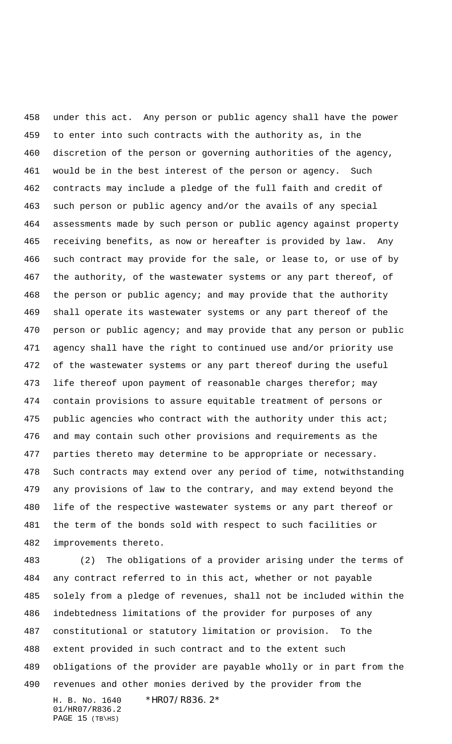under this act. Any person or public agency shall have the power to enter into such contracts with the authority as, in the discretion of the person or governing authorities of the agency, would be in the best interest of the person or agency. Such contracts may include a pledge of the full faith and credit of such person or public agency and/or the avails of any special assessments made by such person or public agency against property receiving benefits, as now or hereafter is provided by law. Any such contract may provide for the sale, or lease to, or use of by the authority, of the wastewater systems or any part thereof, of the person or public agency; and may provide that the authority shall operate its wastewater systems or any part thereof of the person or public agency; and may provide that any person or public agency shall have the right to continued use and/or priority use of the wastewater systems or any part thereof during the useful 473 life thereof upon payment of reasonable charges therefor; may contain provisions to assure equitable treatment of persons or 475 public agencies who contract with the authority under this act; and may contain such other provisions and requirements as the parties thereto may determine to be appropriate or necessary. Such contracts may extend over any period of time, notwithstanding any provisions of law to the contrary, and may extend beyond the life of the respective wastewater systems or any part thereof or the term of the bonds sold with respect to such facilities or improvements thereto.

H. B. No. 1640 \*HR07/R836.2\* 01/HR07/R836.2 (2) The obligations of a provider arising under the terms of any contract referred to in this act, whether or not payable solely from a pledge of revenues, shall not be included within the indebtedness limitations of the provider for purposes of any constitutional or statutory limitation or provision. To the extent provided in such contract and to the extent such obligations of the provider are payable wholly or in part from the revenues and other monies derived by the provider from the

```
PAGE 15 (TB\HS)
```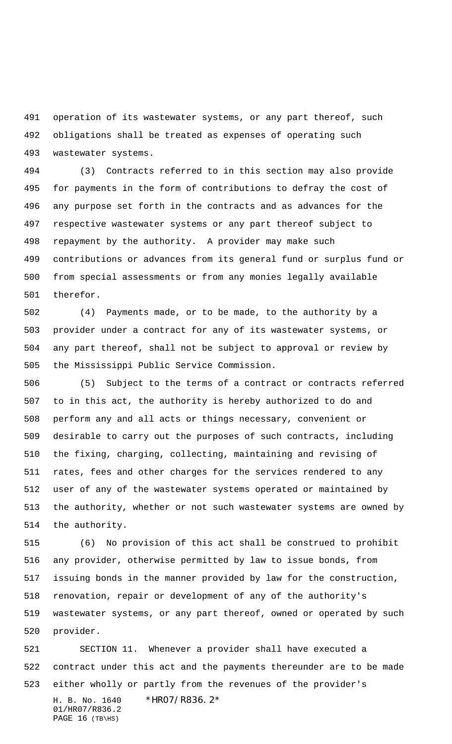operation of its wastewater systems, or any part thereof, such obligations shall be treated as expenses of operating such wastewater systems.

 (3) Contracts referred to in this section may also provide for payments in the form of contributions to defray the cost of any purpose set forth in the contracts and as advances for the respective wastewater systems or any part thereof subject to repayment by the authority. A provider may make such contributions or advances from its general fund or surplus fund or from special assessments or from any monies legally available therefor.

 (4) Payments made, or to be made, to the authority by a provider under a contract for any of its wastewater systems, or any part thereof, shall not be subject to approval or review by the Mississippi Public Service Commission.

 (5) Subject to the terms of a contract or contracts referred to in this act, the authority is hereby authorized to do and perform any and all acts or things necessary, convenient or desirable to carry out the purposes of such contracts, including the fixing, charging, collecting, maintaining and revising of rates, fees and other charges for the services rendered to any user of any of the wastewater systems operated or maintained by the authority, whether or not such wastewater systems are owned by the authority.

 (6) No provision of this act shall be construed to prohibit any provider, otherwise permitted by law to issue bonds, from issuing bonds in the manner provided by law for the construction, renovation, repair or development of any of the authority's wastewater systems, or any part thereof, owned or operated by such provider.

H. B. No. 1640 \*HR07/R836.2\* 01/HR07/R836.2 PAGE (TB\HS) SECTION 11. Whenever a provider shall have executed a contract under this act and the payments thereunder are to be made either wholly or partly from the revenues of the provider's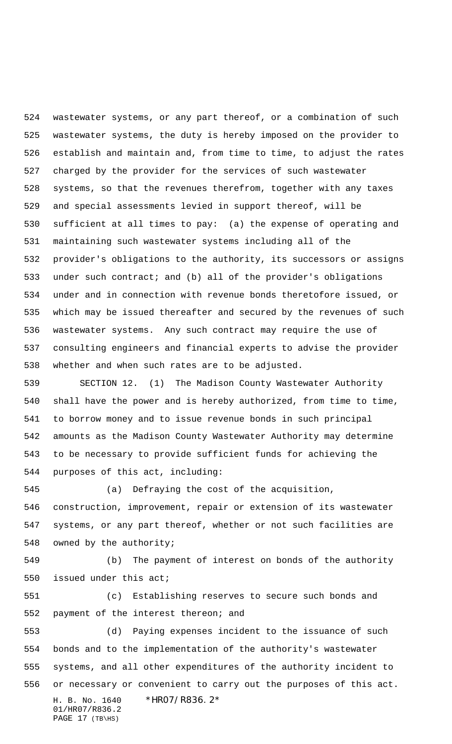wastewater systems, or any part thereof, or a combination of such wastewater systems, the duty is hereby imposed on the provider to establish and maintain and, from time to time, to adjust the rates charged by the provider for the services of such wastewater systems, so that the revenues therefrom, together with any taxes and special assessments levied in support thereof, will be sufficient at all times to pay: (a) the expense of operating and maintaining such wastewater systems including all of the provider's obligations to the authority, its successors or assigns under such contract; and (b) all of the provider's obligations under and in connection with revenue bonds theretofore issued, or which may be issued thereafter and secured by the revenues of such wastewater systems. Any such contract may require the use of consulting engineers and financial experts to advise the provider whether and when such rates are to be adjusted.

 SECTION 12. (1) The Madison County Wastewater Authority shall have the power and is hereby authorized, from time to time, to borrow money and to issue revenue bonds in such principal amounts as the Madison County Wastewater Authority may determine to be necessary to provide sufficient funds for achieving the purposes of this act, including:

 (a) Defraying the cost of the acquisition, construction, improvement, repair or extension of its wastewater systems, or any part thereof, whether or not such facilities are owned by the authority;

 (b) The payment of interest on bonds of the authority issued under this act;

 (c) Establishing reserves to secure such bonds and payment of the interest thereon; and

H. B. No. 1640 \*HR07/R836.2\* 01/HR07/R836.2 PAGE (TB\HS) (d) Paying expenses incident to the issuance of such bonds and to the implementation of the authority's wastewater systems, and all other expenditures of the authority incident to or necessary or convenient to carry out the purposes of this act.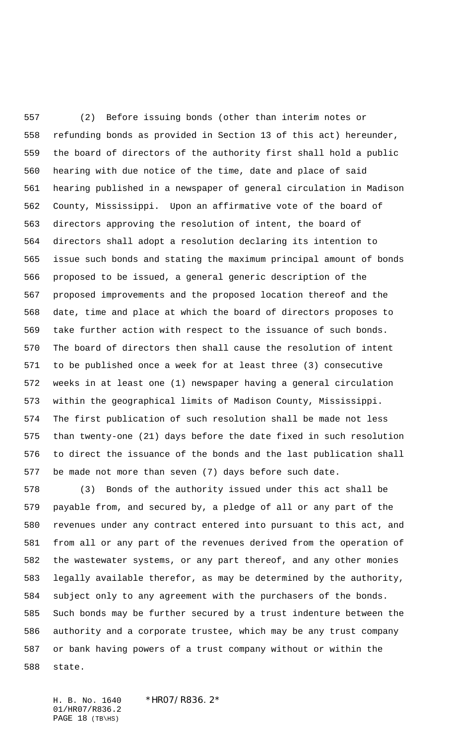(2) Before issuing bonds (other than interim notes or refunding bonds as provided in Section 13 of this act) hereunder, the board of directors of the authority first shall hold a public hearing with due notice of the time, date and place of said hearing published in a newspaper of general circulation in Madison County, Mississippi. Upon an affirmative vote of the board of directors approving the resolution of intent, the board of directors shall adopt a resolution declaring its intention to issue such bonds and stating the maximum principal amount of bonds proposed to be issued, a general generic description of the proposed improvements and the proposed location thereof and the date, time and place at which the board of directors proposes to take further action with respect to the issuance of such bonds. The board of directors then shall cause the resolution of intent to be published once a week for at least three (3) consecutive weeks in at least one (1) newspaper having a general circulation within the geographical limits of Madison County, Mississippi. The first publication of such resolution shall be made not less than twenty-one (21) days before the date fixed in such resolution to direct the issuance of the bonds and the last publication shall be made not more than seven (7) days before such date.

 (3) Bonds of the authority issued under this act shall be payable from, and secured by, a pledge of all or any part of the revenues under any contract entered into pursuant to this act, and from all or any part of the revenues derived from the operation of the wastewater systems, or any part thereof, and any other monies legally available therefor, as may be determined by the authority, subject only to any agreement with the purchasers of the bonds. Such bonds may be further secured by a trust indenture between the authority and a corporate trustee, which may be any trust company or bank having powers of a trust company without or within the state.

H. B. No. 1640 \*HR07/R836.2\* 01/HR07/R836.2 PAGE (TB\HS)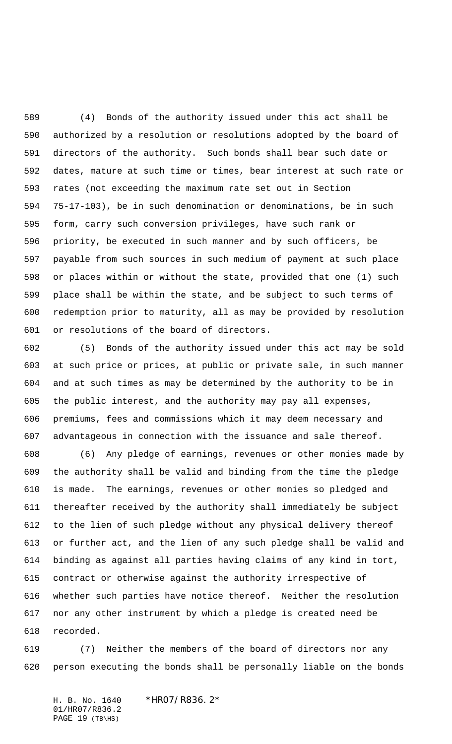(4) Bonds of the authority issued under this act shall be authorized by a resolution or resolutions adopted by the board of directors of the authority. Such bonds shall bear such date or dates, mature at such time or times, bear interest at such rate or rates (not exceeding the maximum rate set out in Section 75-17-103), be in such denomination or denominations, be in such form, carry such conversion privileges, have such rank or priority, be executed in such manner and by such officers, be payable from such sources in such medium of payment at such place or places within or without the state, provided that one (1) such place shall be within the state, and be subject to such terms of redemption prior to maturity, all as may be provided by resolution or resolutions of the board of directors.

 (5) Bonds of the authority issued under this act may be sold at such price or prices, at public or private sale, in such manner and at such times as may be determined by the authority to be in the public interest, and the authority may pay all expenses, premiums, fees and commissions which it may deem necessary and advantageous in connection with the issuance and sale thereof.

 (6) Any pledge of earnings, revenues or other monies made by the authority shall be valid and binding from the time the pledge is made. The earnings, revenues or other monies so pledged and thereafter received by the authority shall immediately be subject to the lien of such pledge without any physical delivery thereof or further act, and the lien of any such pledge shall be valid and binding as against all parties having claims of any kind in tort, contract or otherwise against the authority irrespective of whether such parties have notice thereof. Neither the resolution nor any other instrument by which a pledge is created need be recorded.

 (7) Neither the members of the board of directors nor any person executing the bonds shall be personally liable on the bonds

H. B. No. 1640 \*HR07/R836.2\* 01/HR07/R836.2 PAGE (TB\HS)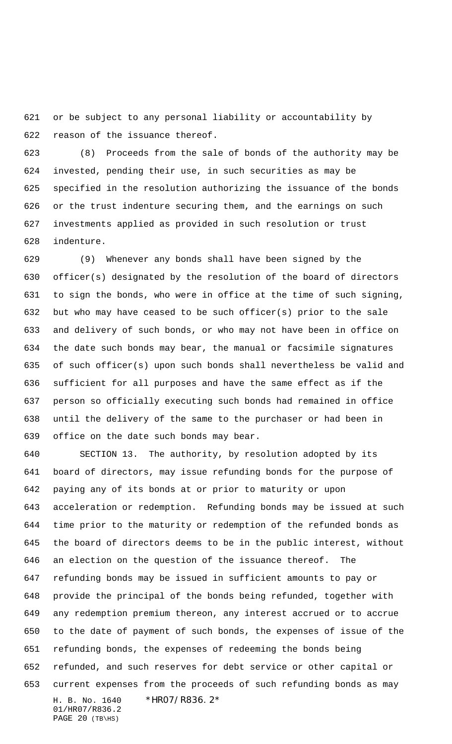or be subject to any personal liability or accountability by reason of the issuance thereof.

 (8) Proceeds from the sale of bonds of the authority may be invested, pending their use, in such securities as may be specified in the resolution authorizing the issuance of the bonds or the trust indenture securing them, and the earnings on such investments applied as provided in such resolution or trust indenture.

 (9) Whenever any bonds shall have been signed by the officer(s) designated by the resolution of the board of directors to sign the bonds, who were in office at the time of such signing, but who may have ceased to be such officer(s) prior to the sale and delivery of such bonds, or who may not have been in office on the date such bonds may bear, the manual or facsimile signatures of such officer(s) upon such bonds shall nevertheless be valid and sufficient for all purposes and have the same effect as if the person so officially executing such bonds had remained in office until the delivery of the same to the purchaser or had been in office on the date such bonds may bear.

H. B. No. 1640 \*HR07/R836.2\* SECTION 13. The authority, by resolution adopted by its board of directors, may issue refunding bonds for the purpose of paying any of its bonds at or prior to maturity or upon acceleration or redemption. Refunding bonds may be issued at such time prior to the maturity or redemption of the refunded bonds as the board of directors deems to be in the public interest, without an election on the question of the issuance thereof. The refunding bonds may be issued in sufficient amounts to pay or provide the principal of the bonds being refunded, together with any redemption premium thereon, any interest accrued or to accrue to the date of payment of such bonds, the expenses of issue of the refunding bonds, the expenses of redeeming the bonds being refunded, and such reserves for debt service or other capital or current expenses from the proceeds of such refunding bonds as may

01/HR07/R836.2 PAGE (TB\HS)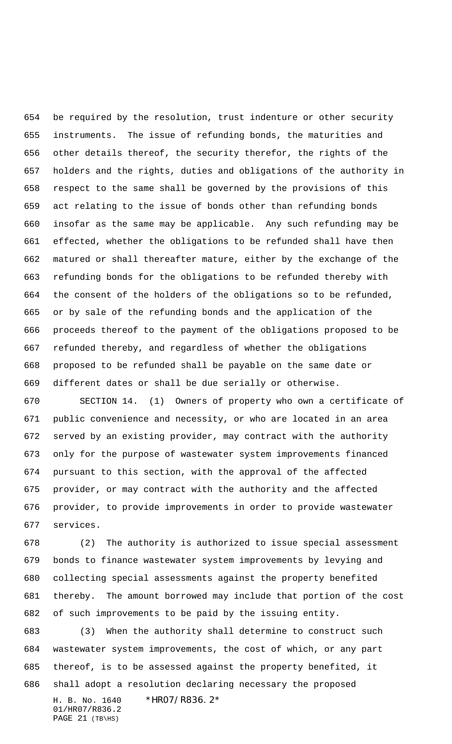be required by the resolution, trust indenture or other security instruments. The issue of refunding bonds, the maturities and other details thereof, the security therefor, the rights of the holders and the rights, duties and obligations of the authority in respect to the same shall be governed by the provisions of this act relating to the issue of bonds other than refunding bonds insofar as the same may be applicable. Any such refunding may be effected, whether the obligations to be refunded shall have then matured or shall thereafter mature, either by the exchange of the refunding bonds for the obligations to be refunded thereby with the consent of the holders of the obligations so to be refunded, or by sale of the refunding bonds and the application of the proceeds thereof to the payment of the obligations proposed to be refunded thereby, and regardless of whether the obligations proposed to be refunded shall be payable on the same date or different dates or shall be due serially or otherwise.

 SECTION 14. (1) Owners of property who own a certificate of public convenience and necessity, or who are located in an area served by an existing provider, may contract with the authority only for the purpose of wastewater system improvements financed pursuant to this section, with the approval of the affected provider, or may contract with the authority and the affected provider, to provide improvements in order to provide wastewater services.

 (2) The authority is authorized to issue special assessment bonds to finance wastewater system improvements by levying and collecting special assessments against the property benefited thereby. The amount borrowed may include that portion of the cost of such improvements to be paid by the issuing entity.

H. B. No. 1640 \*HR07/R836.2\* (3) When the authority shall determine to construct such wastewater system improvements, the cost of which, or any part thereof, is to be assessed against the property benefited, it shall adopt a resolution declaring necessary the proposed

01/HR07/R836.2 PAGE (TB\HS)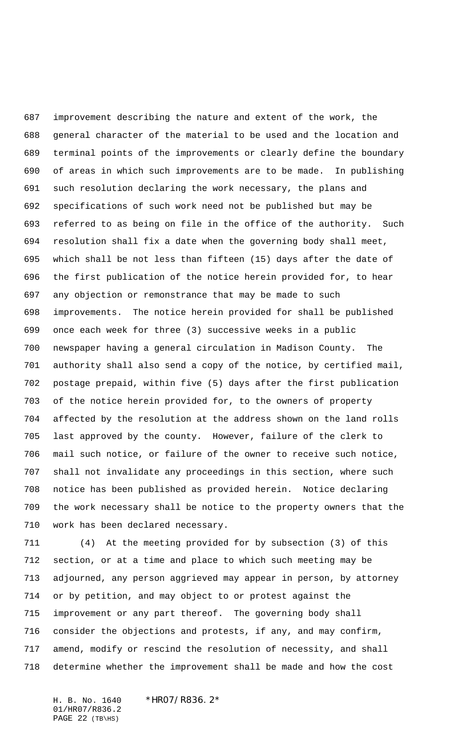improvement describing the nature and extent of the work, the general character of the material to be used and the location and terminal points of the improvements or clearly define the boundary of areas in which such improvements are to be made. In publishing such resolution declaring the work necessary, the plans and specifications of such work need not be published but may be referred to as being on file in the office of the authority. Such resolution shall fix a date when the governing body shall meet, which shall be not less than fifteen (15) days after the date of the first publication of the notice herein provided for, to hear any objection or remonstrance that may be made to such improvements. The notice herein provided for shall be published once each week for three (3) successive weeks in a public newspaper having a general circulation in Madison County. The authority shall also send a copy of the notice, by certified mail, postage prepaid, within five (5) days after the first publication of the notice herein provided for, to the owners of property affected by the resolution at the address shown on the land rolls last approved by the county. However, failure of the clerk to mail such notice, or failure of the owner to receive such notice, shall not invalidate any proceedings in this section, where such notice has been published as provided herein. Notice declaring the work necessary shall be notice to the property owners that the work has been declared necessary.

 (4) At the meeting provided for by subsection (3) of this section, or at a time and place to which such meeting may be adjourned, any person aggrieved may appear in person, by attorney or by petition, and may object to or protest against the improvement or any part thereof. The governing body shall consider the objections and protests, if any, and may confirm, amend, modify or rescind the resolution of necessity, and shall determine whether the improvement shall be made and how the cost

H. B. No. 1640 \*HR07/R836.2\* 01/HR07/R836.2 PAGE (TB\HS)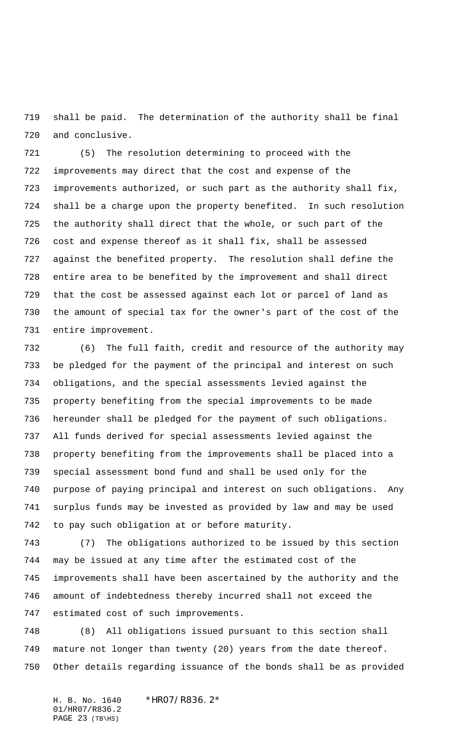shall be paid. The determination of the authority shall be final and conclusive.

 (5) The resolution determining to proceed with the improvements may direct that the cost and expense of the improvements authorized, or such part as the authority shall fix, shall be a charge upon the property benefited. In such resolution the authority shall direct that the whole, or such part of the cost and expense thereof as it shall fix, shall be assessed against the benefited property. The resolution shall define the entire area to be benefited by the improvement and shall direct that the cost be assessed against each lot or parcel of land as the amount of special tax for the owner's part of the cost of the entire improvement.

 (6) The full faith, credit and resource of the authority may be pledged for the payment of the principal and interest on such obligations, and the special assessments levied against the property benefiting from the special improvements to be made hereunder shall be pledged for the payment of such obligations. All funds derived for special assessments levied against the property benefiting from the improvements shall be placed into a special assessment bond fund and shall be used only for the purpose of paying principal and interest on such obligations. Any surplus funds may be invested as provided by law and may be used to pay such obligation at or before maturity.

 (7) The obligations authorized to be issued by this section may be issued at any time after the estimated cost of the improvements shall have been ascertained by the authority and the amount of indebtedness thereby incurred shall not exceed the estimated cost of such improvements.

 (8) All obligations issued pursuant to this section shall mature not longer than twenty (20) years from the date thereof. Other details regarding issuance of the bonds shall be as provided

H. B. No. 1640 \*HR07/R836.2\* 01/HR07/R836.2 PAGE (TB\HS)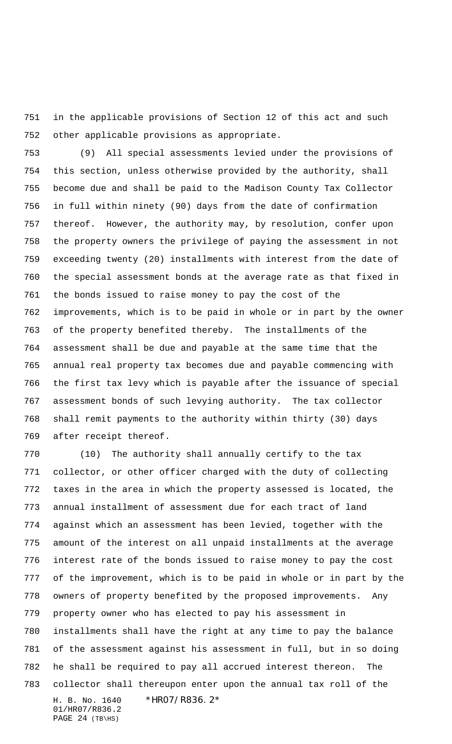in the applicable provisions of Section 12 of this act and such other applicable provisions as appropriate.

 (9) All special assessments levied under the provisions of this section, unless otherwise provided by the authority, shall become due and shall be paid to the Madison County Tax Collector in full within ninety (90) days from the date of confirmation thereof. However, the authority may, by resolution, confer upon the property owners the privilege of paying the assessment in not exceeding twenty (20) installments with interest from the date of the special assessment bonds at the average rate as that fixed in the bonds issued to raise money to pay the cost of the improvements, which is to be paid in whole or in part by the owner of the property benefited thereby. The installments of the assessment shall be due and payable at the same time that the annual real property tax becomes due and payable commencing with the first tax levy which is payable after the issuance of special assessment bonds of such levying authority. The tax collector shall remit payments to the authority within thirty (30) days after receipt thereof.

H. B. No. 1640 \*HR07/R836.2\* 01/HR07/R836.2 (10) The authority shall annually certify to the tax collector, or other officer charged with the duty of collecting taxes in the area in which the property assessed is located, the annual installment of assessment due for each tract of land against which an assessment has been levied, together with the amount of the interest on all unpaid installments at the average interest rate of the bonds issued to raise money to pay the cost of the improvement, which is to be paid in whole or in part by the owners of property benefited by the proposed improvements. Any property owner who has elected to pay his assessment in installments shall have the right at any time to pay the balance of the assessment against his assessment in full, but in so doing he shall be required to pay all accrued interest thereon. The collector shall thereupon enter upon the annual tax roll of the

PAGE (TB\HS)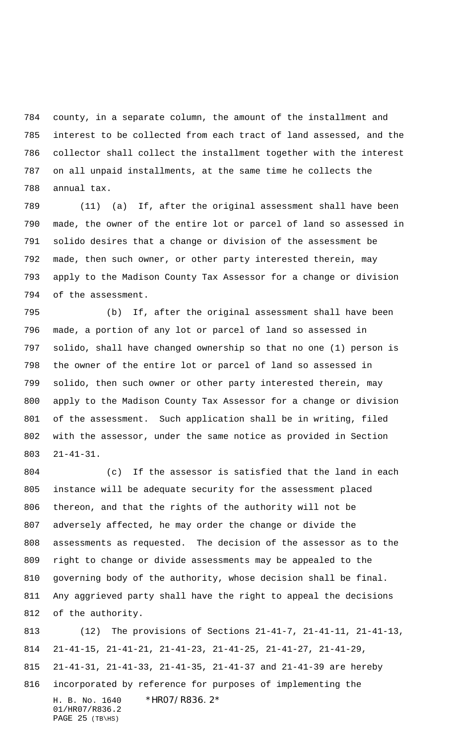county, in a separate column, the amount of the installment and interest to be collected from each tract of land assessed, and the collector shall collect the installment together with the interest on all unpaid installments, at the same time he collects the annual tax.

 (11) (a) If, after the original assessment shall have been made, the owner of the entire lot or parcel of land so assessed in solido desires that a change or division of the assessment be made, then such owner, or other party interested therein, may apply to the Madison County Tax Assessor for a change or division of the assessment.

 (b) If, after the original assessment shall have been made, a portion of any lot or parcel of land so assessed in solido, shall have changed ownership so that no one (1) person is the owner of the entire lot or parcel of land so assessed in solido, then such owner or other party interested therein, may apply to the Madison County Tax Assessor for a change or division of the assessment. Such application shall be in writing, filed with the assessor, under the same notice as provided in Section 21-41-31.

 (c) If the assessor is satisfied that the land in each instance will be adequate security for the assessment placed thereon, and that the rights of the authority will not be adversely affected, he may order the change or divide the assessments as requested. The decision of the assessor as to the right to change or divide assessments may be appealed to the governing body of the authority, whose decision shall be final. Any aggrieved party shall have the right to appeal the decisions of the authority.

H. B. No. 1640 \*HR07/R836.2\* 01/HR07/R836.2 PAGE (TB\HS) (12) The provisions of Sections 21-41-7, 21-41-11, 21-41-13, 21-41-15, 21-41-21, 21-41-23, 21-41-25, 21-41-27, 21-41-29, 21-41-31, 21-41-33, 21-41-35, 21-41-37 and 21-41-39 are hereby incorporated by reference for purposes of implementing the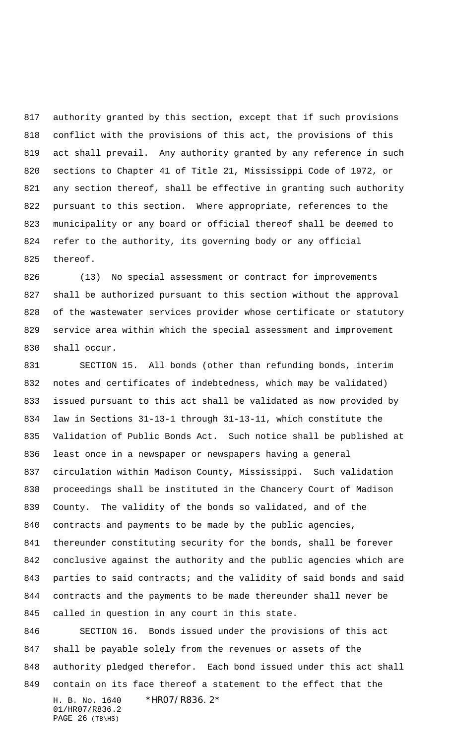authority granted by this section, except that if such provisions conflict with the provisions of this act, the provisions of this act shall prevail. Any authority granted by any reference in such sections to Chapter 41 of Title 21, Mississippi Code of 1972, or any section thereof, shall be effective in granting such authority pursuant to this section. Where appropriate, references to the municipality or any board or official thereof shall be deemed to refer to the authority, its governing body or any official thereof.

 (13) No special assessment or contract for improvements shall be authorized pursuant to this section without the approval of the wastewater services provider whose certificate or statutory service area within which the special assessment and improvement shall occur.

 SECTION 15. All bonds (other than refunding bonds, interim notes and certificates of indebtedness, which may be validated) issued pursuant to this act shall be validated as now provided by law in Sections 31-13-1 through 31-13-11, which constitute the Validation of Public Bonds Act. Such notice shall be published at least once in a newspaper or newspapers having a general circulation within Madison County, Mississippi. Such validation proceedings shall be instituted in the Chancery Court of Madison County. The validity of the bonds so validated, and of the contracts and payments to be made by the public agencies, thereunder constituting security for the bonds, shall be forever conclusive against the authority and the public agencies which are 843 parties to said contracts; and the validity of said bonds and said contracts and the payments to be made thereunder shall never be called in question in any court in this state.

H. B. No. 1640 \*HR07/R836.2\* 01/HR07/R836.2 SECTION 16. Bonds issued under the provisions of this act shall be payable solely from the revenues or assets of the authority pledged therefor. Each bond issued under this act shall contain on its face thereof a statement to the effect that the

```
PAGE 26 (TB\HS)
```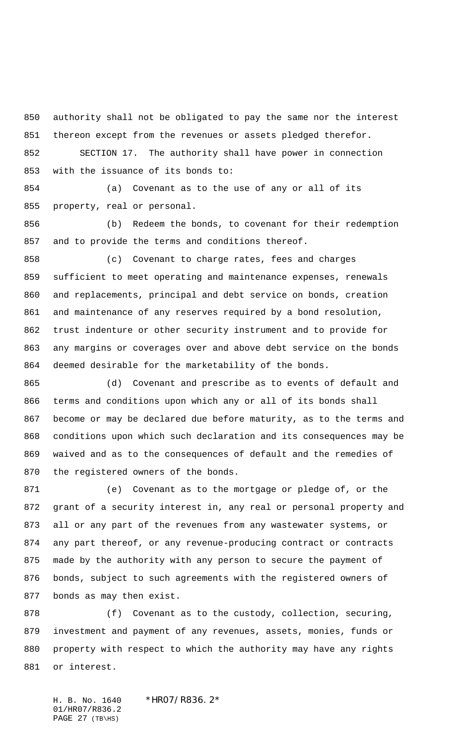authority shall not be obligated to pay the same nor the interest thereon except from the revenues or assets pledged therefor. SECTION 17. The authority shall have power in connection

with the issuance of its bonds to:

 (a) Covenant as to the use of any or all of its property, real or personal.

 (b) Redeem the bonds, to covenant for their redemption and to provide the terms and conditions thereof.

 (c) Covenant to charge rates, fees and charges sufficient to meet operating and maintenance expenses, renewals and replacements, principal and debt service on bonds, creation and maintenance of any reserves required by a bond resolution, trust indenture or other security instrument and to provide for any margins or coverages over and above debt service on the bonds deemed desirable for the marketability of the bonds.

 (d) Covenant and prescribe as to events of default and terms and conditions upon which any or all of its bonds shall become or may be declared due before maturity, as to the terms and conditions upon which such declaration and its consequences may be waived and as to the consequences of default and the remedies of the registered owners of the bonds.

 (e) Covenant as to the mortgage or pledge of, or the grant of a security interest in, any real or personal property and all or any part of the revenues from any wastewater systems, or any part thereof, or any revenue-producing contract or contracts made by the authority with any person to secure the payment of bonds, subject to such agreements with the registered owners of bonds as may then exist.

 (f) Covenant as to the custody, collection, securing, investment and payment of any revenues, assets, monies, funds or property with respect to which the authority may have any rights or interest.

H. B. No. 1640 \*HR07/R836.2\* 01/HR07/R836.2 PAGE (TB\HS)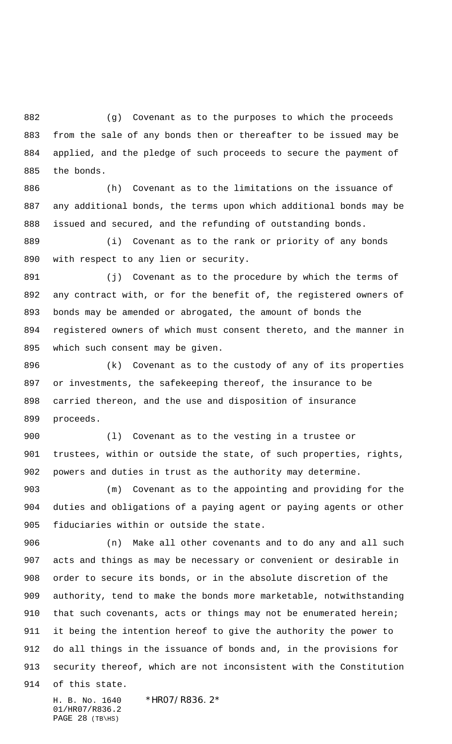(g) Covenant as to the purposes to which the proceeds from the sale of any bonds then or thereafter to be issued may be applied, and the pledge of such proceeds to secure the payment of the bonds.

 (h) Covenant as to the limitations on the issuance of any additional bonds, the terms upon which additional bonds may be issued and secured, and the refunding of outstanding bonds.

 (i) Covenant as to the rank or priority of any bonds with respect to any lien or security.

891 (j) Covenant as to the procedure by which the terms of any contract with, or for the benefit of, the registered owners of bonds may be amended or abrogated, the amount of bonds the registered owners of which must consent thereto, and the manner in which such consent may be given.

 (k) Covenant as to the custody of any of its properties or investments, the safekeeping thereof, the insurance to be carried thereon, and the use and disposition of insurance proceeds.

 (l) Covenant as to the vesting in a trustee or trustees, within or outside the state, of such properties, rights, powers and duties in trust as the authority may determine.

 (m) Covenant as to the appointing and providing for the duties and obligations of a paying agent or paying agents or other fiduciaries within or outside the state.

 (n) Make all other covenants and to do any and all such acts and things as may be necessary or convenient or desirable in order to secure its bonds, or in the absolute discretion of the authority, tend to make the bonds more marketable, notwithstanding 910 that such covenants, acts or things may not be enumerated herein; it being the intention hereof to give the authority the power to do all things in the issuance of bonds and, in the provisions for security thereof, which are not inconsistent with the Constitution

of this state.

H. B. No. 1640 \*HR07/R836.2\* 01/HR07/R836.2 PAGE (TB\HS)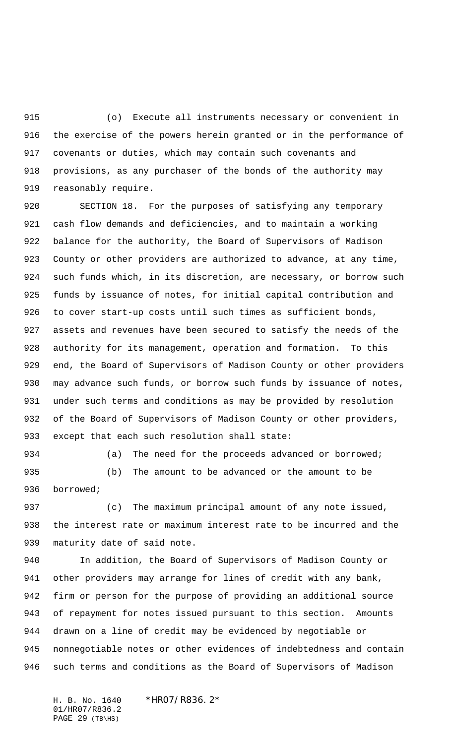(o) Execute all instruments necessary or convenient in the exercise of the powers herein granted or in the performance of covenants or duties, which may contain such covenants and provisions, as any purchaser of the bonds of the authority may reasonably require.

 SECTION 18. For the purposes of satisfying any temporary cash flow demands and deficiencies, and to maintain a working balance for the authority, the Board of Supervisors of Madison County or other providers are authorized to advance, at any time, such funds which, in its discretion, are necessary, or borrow such funds by issuance of notes, for initial capital contribution and to cover start-up costs until such times as sufficient bonds, assets and revenues have been secured to satisfy the needs of the authority for its management, operation and formation. To this end, the Board of Supervisors of Madison County or other providers may advance such funds, or borrow such funds by issuance of notes, under such terms and conditions as may be provided by resolution of the Board of Supervisors of Madison County or other providers, except that each such resolution shall state:

934 (a) The need for the proceeds advanced or borrowed; (b) The amount to be advanced or the amount to be

borrowed;

 (c) The maximum principal amount of any note issued, the interest rate or maximum interest rate to be incurred and the maturity date of said note.

 In addition, the Board of Supervisors of Madison County or other providers may arrange for lines of credit with any bank, firm or person for the purpose of providing an additional source of repayment for notes issued pursuant to this section. Amounts drawn on a line of credit may be evidenced by negotiable or nonnegotiable notes or other evidences of indebtedness and contain such terms and conditions as the Board of Supervisors of Madison

H. B. No. 1640 \*HR07/R836.2\* 01/HR07/R836.2 PAGE 29  $(TB\H)$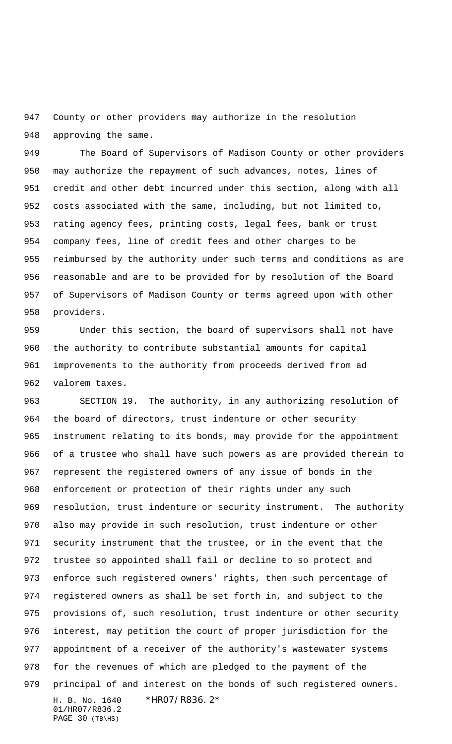County or other providers may authorize in the resolution approving the same.

 The Board of Supervisors of Madison County or other providers may authorize the repayment of such advances, notes, lines of credit and other debt incurred under this section, along with all costs associated with the same, including, but not limited to, rating agency fees, printing costs, legal fees, bank or trust company fees, line of credit fees and other charges to be reimbursed by the authority under such terms and conditions as are reasonable and are to be provided for by resolution of the Board of Supervisors of Madison County or terms agreed upon with other providers.

 Under this section, the board of supervisors shall not have the authority to contribute substantial amounts for capital improvements to the authority from proceeds derived from ad valorem taxes.

H. B. No. 1640 \*HR07/R836.2\* 01/HR07/R836.2 SECTION 19. The authority, in any authorizing resolution of the board of directors, trust indenture or other security instrument relating to its bonds, may provide for the appointment of a trustee who shall have such powers as are provided therein to represent the registered owners of any issue of bonds in the enforcement or protection of their rights under any such resolution, trust indenture or security instrument. The authority also may provide in such resolution, trust indenture or other security instrument that the trustee, or in the event that the trustee so appointed shall fail or decline to so protect and enforce such registered owners' rights, then such percentage of registered owners as shall be set forth in, and subject to the provisions of, such resolution, trust indenture or other security interest, may petition the court of proper jurisdiction for the appointment of a receiver of the authority's wastewater systems for the revenues of which are pledged to the payment of the principal of and interest on the bonds of such registered owners.

PAGE (TB\HS)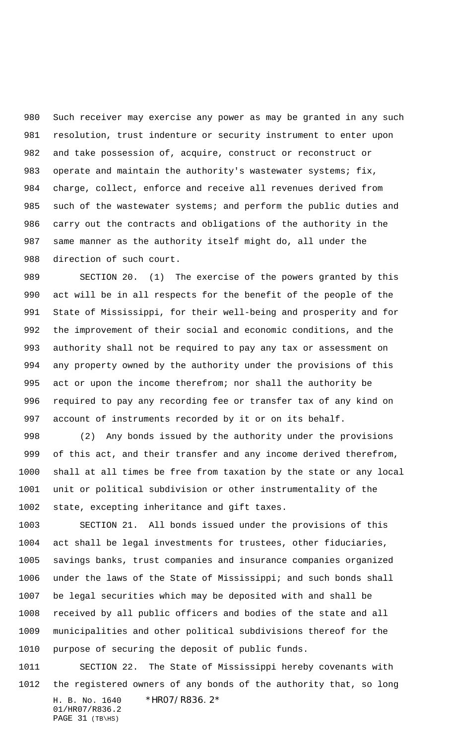Such receiver may exercise any power as may be granted in any such resolution, trust indenture or security instrument to enter upon and take possession of, acquire, construct or reconstruct or operate and maintain the authority's wastewater systems; fix, charge, collect, enforce and receive all revenues derived from 985 such of the wastewater systems; and perform the public duties and carry out the contracts and obligations of the authority in the same manner as the authority itself might do, all under the direction of such court.

 SECTION 20. (1) The exercise of the powers granted by this act will be in all respects for the benefit of the people of the State of Mississippi, for their well-being and prosperity and for the improvement of their social and economic conditions, and the authority shall not be required to pay any tax or assessment on any property owned by the authority under the provisions of this act or upon the income therefrom; nor shall the authority be required to pay any recording fee or transfer tax of any kind on account of instruments recorded by it or on its behalf.

 (2) Any bonds issued by the authority under the provisions of this act, and their transfer and any income derived therefrom, shall at all times be free from taxation by the state or any local unit or political subdivision or other instrumentality of the state, excepting inheritance and gift taxes.

 SECTION 21. All bonds issued under the provisions of this act shall be legal investments for trustees, other fiduciaries, savings banks, trust companies and insurance companies organized under the laws of the State of Mississippi; and such bonds shall be legal securities which may be deposited with and shall be received by all public officers and bodies of the state and all municipalities and other political subdivisions thereof for the purpose of securing the deposit of public funds.

H. B. No. 1640 \*HR07/R836.2\* 01/HR07/R836.2 SECTION 22. The State of Mississippi hereby covenants with the registered owners of any bonds of the authority that, so long

PAGE (TB\HS)